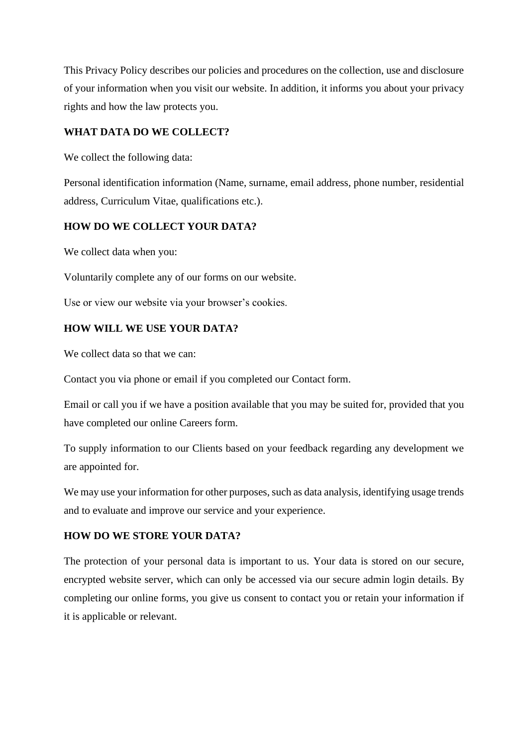This Privacy Policy describes our policies and procedures on the collection, use and disclosure of your information when you visit our website. In addition, it informs you about your privacy rights and how the law protects you.

### **WHAT DATA DO WE COLLECT?**

We collect the following data:

Personal identification information (Name, surname, email address, phone number, residential address, Curriculum Vitae, qualifications etc.).

# **HOW DO WE COLLECT YOUR DATA?**

We collect data when you:

Voluntarily complete any of our forms on our website.

Use or view our website via your browser's cookies.

### **HOW WILL WE USE YOUR DATA?**

We collect data so that we can:

Contact you via phone or email if you completed our Contact form.

Email or call you if we have a position available that you may be suited for, provided that you have completed our online Careers form.

To supply information to our Clients based on your feedback regarding any development we are appointed for.

We may use your information for other purposes, such as data analysis, identifying usage trends and to evaluate and improve our service and your experience.

#### **HOW DO WE STORE YOUR DATA?**

The protection of your personal data is important to us. Your data is stored on our secure, encrypted website server, which can only be accessed via our secure admin login details. By completing our online forms, you give us consent to contact you or retain your information if it is applicable or relevant.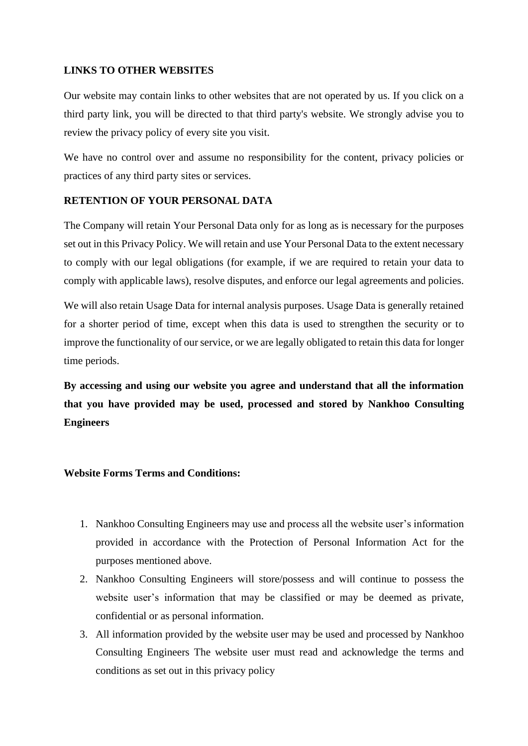### **LINKS TO OTHER WEBSITES**

Our website may contain links to other websites that are not operated by us. If you click on a third party link, you will be directed to that third party's website. We strongly advise you to review the privacy policy of every site you visit.

We have no control over and assume no responsibility for the content, privacy policies or practices of any third party sites or services.

### **RETENTION OF YOUR PERSONAL DATA**

The Company will retain Your Personal Data only for as long as is necessary for the purposes set out in this Privacy Policy. We will retain and use Your Personal Data to the extent necessary to comply with our legal obligations (for example, if we are required to retain your data to comply with applicable laws), resolve disputes, and enforce our legal agreements and policies.

We will also retain Usage Data for internal analysis purposes. Usage Data is generally retained for a shorter period of time, except when this data is used to strengthen the security or to improve the functionality of our service, or we are legally obligated to retain this data for longer time periods.

**By accessing and using our website you agree and understand that all the information that you have provided may be used, processed and stored by Nankhoo Consulting Engineers**

#### **Website Forms Terms and Conditions:**

- 1. Nankhoo Consulting Engineers may use and process all the website user's information provided in accordance with the Protection of Personal Information Act for the purposes mentioned above.
- 2. Nankhoo Consulting Engineers will store/possess and will continue to possess the website user's information that may be classified or may be deemed as private, confidential or as personal information.
- 3. All information provided by the website user may be used and processed by Nankhoo Consulting Engineers The website user must read and acknowledge the terms and conditions as set out in this privacy policy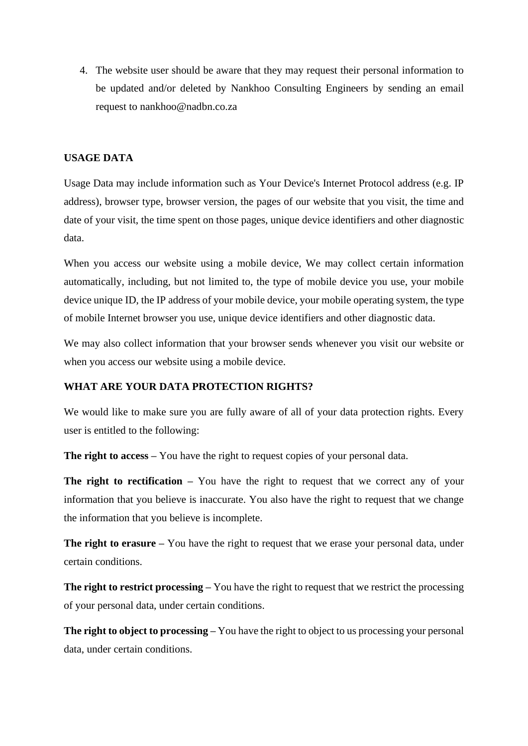4. The website user should be aware that they may request their personal information to be updated and/or deleted by Nankhoo Consulting Engineers by sending an email request to nankhoo@nadbn.co.za

#### **USAGE DATA**

Usage Data may include information such as Your Device's Internet Protocol address (e.g. IP address), browser type, browser version, the pages of our website that you visit, the time and date of your visit, the time spent on those pages, unique device identifiers and other diagnostic data.

When you access our website using a mobile device, We may collect certain information automatically, including, but not limited to, the type of mobile device you use, your mobile device unique ID, the IP address of your mobile device, your mobile operating system, the type of mobile Internet browser you use, unique device identifiers and other diagnostic data.

We may also collect information that your browser sends whenever you visit our website or when you access our website using a mobile device.

#### **WHAT ARE YOUR DATA PROTECTION RIGHTS?**

We would like to make sure you are fully aware of all of your data protection rights. Every user is entitled to the following:

**The right to access –** You have the right to request copies of your personal data.

**The right to rectification –** You have the right to request that we correct any of your information that you believe is inaccurate. You also have the right to request that we change the information that you believe is incomplete.

**The right to erasure –** You have the right to request that we erase your personal data, under certain conditions.

**The right to restrict processing –** You have the right to request that we restrict the processing of your personal data, under certain conditions.

**The right to object to processing –** You have the right to object to us processing your personal data, under certain conditions.